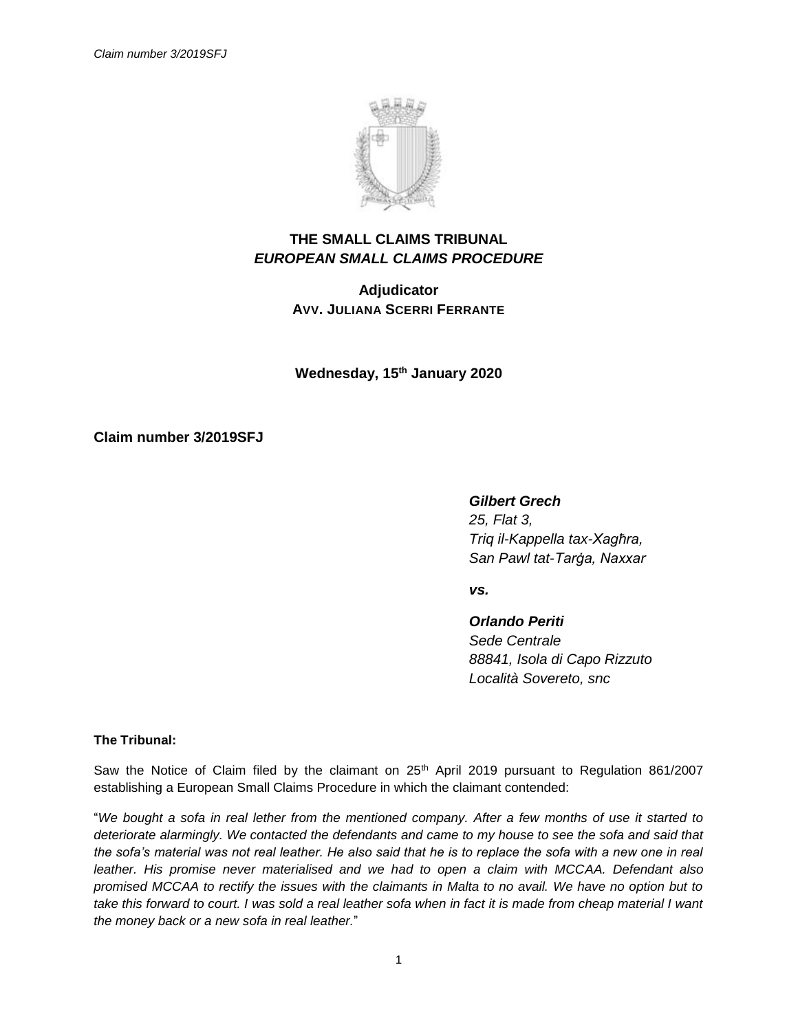

## **THE SMALL CLAIMS TRIBUNAL** *EUROPEAN SMALL CLAIMS PROCEDURE*

**Adjudicator AVV. JULIANA SCERRI FERRANTE**

**Wednesday, 15th January 2020**

**Claim number 3/2019SFJ**

*Gilbert Grech*

*25, Flat 3, Triq il-Kappella tax-Xagħra, San Pawl tat-Tarġa, Naxxar*

*vs.*

*Orlando Periti Sede Centrale 88841, Isola di Capo Rizzuto Località Sovereto, snc*

**The Tribunal:**

Saw the Notice of Claim filed by the claimant on 25<sup>th</sup> April 2019 pursuant to Regulation 861/2007 establishing a European Small Claims Procedure in which the claimant contended:

"*We bought a sofa in real lether from the mentioned company. After a few months of use it started to deteriorate alarmingly. We contacted the defendants and came to my house to see the sofa and said that the sofa's material was not real leather. He also said that he is to replace the sofa with a new one in real leather. His promise never materialised and we had to open a claim with MCCAA. Defendant also promised MCCAA to rectify the issues with the claimants in Malta to no avail. We have no option but to*  take this forward to court. I was sold a real leather sofa when in fact it is made from cheap material I want *the money back or a new sofa in real leather.*"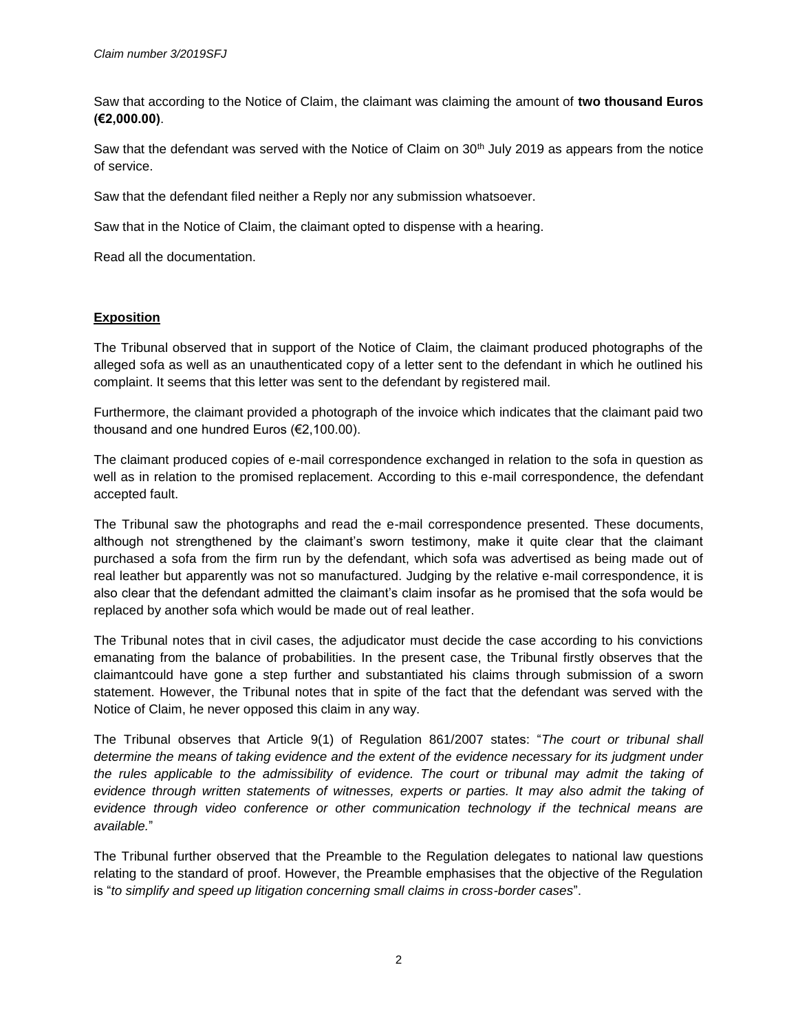Saw that according to the Notice of Claim, the claimant was claiming the amount of **two thousand Euros (€2,000.00)**.

Saw that the defendant was served with the Notice of Claim on 30<sup>th</sup> July 2019 as appears from the notice of service.

Saw that the defendant filed neither a Reply nor any submission whatsoever.

Saw that in the Notice of Claim, the claimant opted to dispense with a hearing.

Read all the documentation.

## **Exposition**

The Tribunal observed that in support of the Notice of Claim, the claimant produced photographs of the alleged sofa as well as an unauthenticated copy of a letter sent to the defendant in which he outlined his complaint. It seems that this letter was sent to the defendant by registered mail.

Furthermore, the claimant provided a photograph of the invoice which indicates that the claimant paid two thousand and one hundred Euros (€2,100.00).

The claimant produced copies of e-mail correspondence exchanged in relation to the sofa in question as well as in relation to the promised replacement. According to this e-mail correspondence, the defendant accepted fault.

The Tribunal saw the photographs and read the e-mail correspondence presented. These documents, although not strengthened by the claimant's sworn testimony, make it quite clear that the claimant purchased a sofa from the firm run by the defendant, which sofa was advertised as being made out of real leather but apparently was not so manufactured. Judging by the relative e-mail correspondence, it is also clear that the defendant admitted the claimant's claim insofar as he promised that the sofa would be replaced by another sofa which would be made out of real leather.

The Tribunal notes that in civil cases, the adjudicator must decide the case according to his convictions emanating from the balance of probabilities. In the present case, the Tribunal firstly observes that the claimantcould have gone a step further and substantiated his claims through submission of a sworn statement. However, the Tribunal notes that in spite of the fact that the defendant was served with the Notice of Claim, he never opposed this claim in any way.

The Tribunal observes that Article 9(1) of Regulation 861/2007 states: "*The court or tribunal shall determine the means of taking evidence and the extent of the evidence necessary for its judgment under the rules applicable to the admissibility of evidence. The court or tribunal may admit the taking of evidence through written statements of witnesses, experts or parties. It may also admit the taking of evidence through video conference or other communication technology if the technical means are available.*"

The Tribunal further observed that the Preamble to the Regulation delegates to national law questions relating to the standard of proof. However, the Preamble emphasises that the objective of the Regulation is "*to simplify and speed up litigation concerning small claims in cross-border cases*".